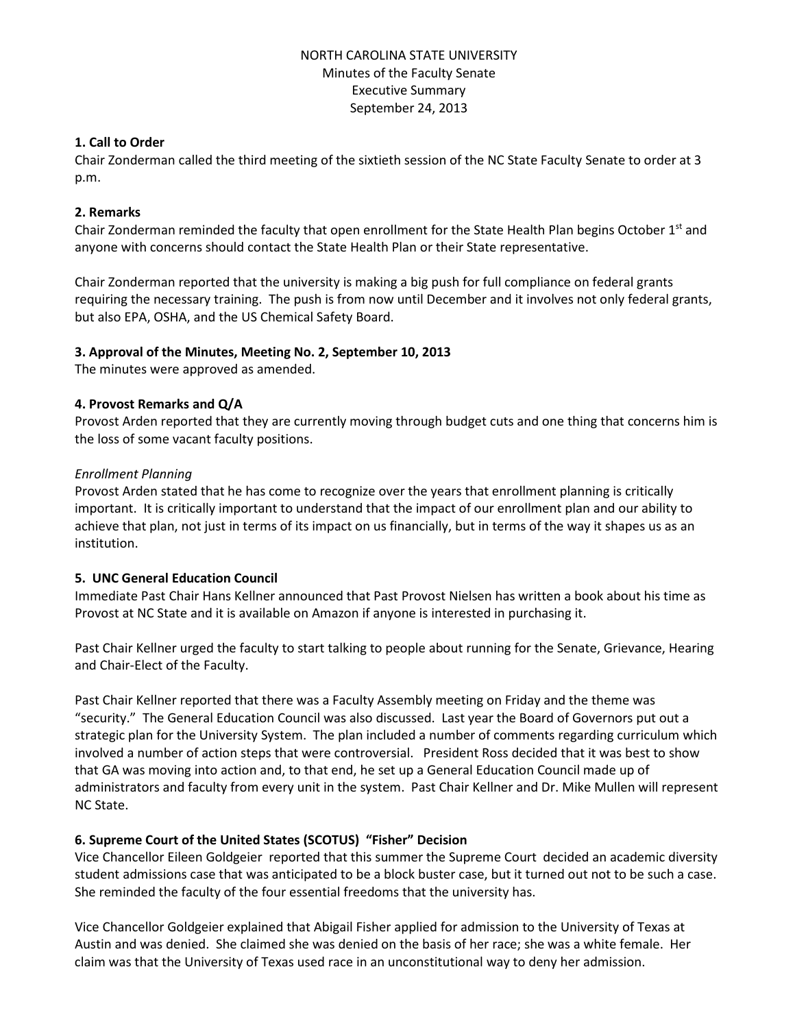## NORTH CAROLINA STATE UNIVERSITY Minutes of the Faculty Senate Executive Summary September 24, 2013

## **1. Call to Order**

Chair Zonderman called the third meeting of the sixtieth session of the NC State Faculty Senate to order at 3 p.m.

## **2. Remarks**

Chair Zonderman reminded the faculty that open enrollment for the State Health Plan begins October  $1<sup>st</sup>$  and anyone with concerns should contact the State Health Plan or their State representative.

Chair Zonderman reported that the university is making a big push for full compliance on federal grants requiring the necessary training. The push is from now until December and it involves not only federal grants, but also EPA, OSHA, and the US Chemical Safety Board.

## **3. Approval of the Minutes, Meeting No. 2, September 10, 2013**

The minutes were approved as amended.

## **4. Provost Remarks and Q/A**

Provost Arden reported that they are currently moving through budget cuts and one thing that concerns him is the loss of some vacant faculty positions.

## *Enrollment Planning*

Provost Arden stated that he has come to recognize over the years that enrollment planning is critically important. It is critically important to understand that the impact of our enrollment plan and our ability to achieve that plan, not just in terms of its impact on us financially, but in terms of the way it shapes us as an institution.

## **5. UNC General Education Council**

Immediate Past Chair Hans Kellner announced that Past Provost Nielsen has written a book about his time as Provost at NC State and it is available on Amazon if anyone is interested in purchasing it.

Past Chair Kellner urged the faculty to start talking to people about running for the Senate, Grievance, Hearing and Chair-Elect of the Faculty.

Past Chair Kellner reported that there was a Faculty Assembly meeting on Friday and the theme was "security." The General Education Council was also discussed. Last year the Board of Governors put out a strategic plan for the University System. The plan included a number of comments regarding curriculum which involved a number of action steps that were controversial. President Ross decided that it was best to show that GA was moving into action and, to that end, he set up a General Education Council made up of administrators and faculty from every unit in the system. Past Chair Kellner and Dr. Mike Mullen will represent NC State.

# **6. Supreme Court of the United States (SCOTUS) "Fisher" Decision**

Vice Chancellor Eileen Goldgeier reported that this summer the Supreme Court decided an academic diversity student admissions case that was anticipated to be a block buster case, but it turned out not to be such a case. She reminded the faculty of the four essential freedoms that the university has.

Vice Chancellor Goldgeier explained that Abigail Fisher applied for admission to the University of Texas at Austin and was denied. She claimed she was denied on the basis of her race; she was a white female. Her claim was that the University of Texas used race in an unconstitutional way to deny her admission.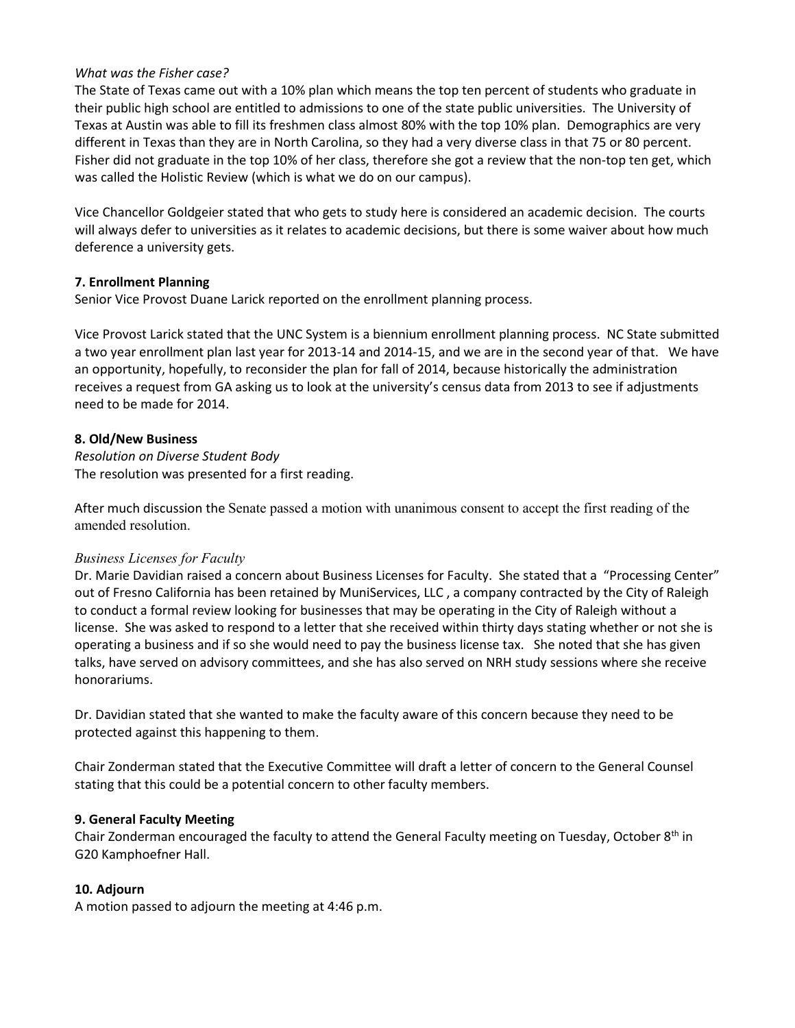#### *What was the Fisher case?*

The State of Texas came out with a 10% plan which means the top ten percent of students who graduate in their public high school are entitled to admissions to one of the state public universities. The University of Texas at Austin was able to fill its freshmen class almost 80% with the top 10% plan. Demographics are very different in Texas than they are in North Carolina, so they had a very diverse class in that 75 or 80 percent. Fisher did not graduate in the top 10% of her class, therefore she got a review that the non-top ten get, which was called the Holistic Review (which is what we do on our campus).

Vice Chancellor Goldgeier stated that who gets to study here is considered an academic decision. The courts will always defer to universities as it relates to academic decisions, but there is some waiver about how much deference a university gets.

## **7. Enrollment Planning**

Senior Vice Provost Duane Larick reported on the enrollment planning process.

Vice Provost Larick stated that the UNC System is a biennium enrollment planning process. NC State submitted a two year enrollment plan last year for 2013-14 and 2014-15, and we are in the second year of that. We have an opportunity, hopefully, to reconsider the plan for fall of 2014, because historically the administration receives a request from GA asking us to look at the university's census data from 2013 to see if adjustments need to be made for 2014.

## **8. Old/New Business**

*Resolution on Diverse Student Body* The resolution was presented for a first reading.

After much discussion the Senate passed a motion with unanimous consent to accept the first reading of the amended resolution.

## *Business Licenses for Faculty*

Dr. Marie Davidian raised a concern about Business Licenses for Faculty. She stated that a "Processing Center" out of Fresno California has been retained by MuniServices, LLC , a company contracted by the City of Raleigh to conduct a formal review looking for businesses that may be operating in the City of Raleigh without a license. She was asked to respond to a letter that she received within thirty days stating whether or not she is operating a business and if so she would need to pay the business license tax. She noted that she has given talks, have served on advisory committees, and she has also served on NRH study sessions where she receive honorariums.

Dr. Davidian stated that she wanted to make the faculty aware of this concern because they need to be protected against this happening to them.

Chair Zonderman stated that the Executive Committee will draft a letter of concern to the General Counsel stating that this could be a potential concern to other faculty members.

## **9. General Faculty Meeting**

Chair Zonderman encouraged the faculty to attend the General Faculty meeting on Tuesday, October 8<sup>th</sup> in G20 Kamphoefner Hall.

# **10. Adjourn**

A motion passed to adjourn the meeting at 4:46 p.m.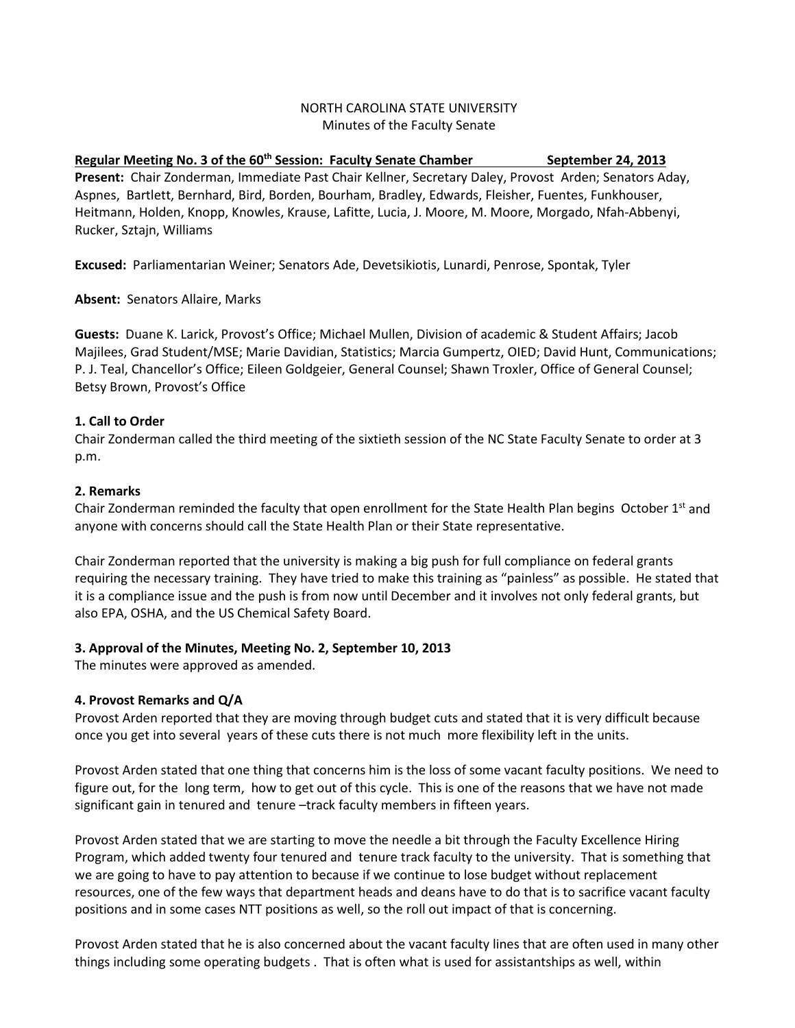## NORTH CAROLINA STATE UNIVERSITY Minutes of the Faculty Senate

**Regular Meeting No. 3 of the 60th Session: Faculty Senate Chamber September 24, 2013 Present:** Chair Zonderman, Immediate Past Chair Kellner, Secretary Daley, Provost Arden; Senators Aday, Aspnes, Bartlett, Bernhard, Bird, Borden, Bourham, Bradley, Edwards, Fleisher, Fuentes, Funkhouser, Heitmann, Holden, Knopp, Knowles, Krause, Lafitte, Lucia, J. Moore, M. Moore, Morgado, Nfah-Abbenyi, Rucker, Sztajn, Williams

**Excused:** Parliamentarian Weiner; Senators Ade, Devetsikiotis, Lunardi, Penrose, Spontak, Tyler

**Absent:** Senators Allaire, Marks

**Guests:** Duane K. Larick, Provost's Office; Michael Mullen, Division of academic & Student Affairs; Jacob Majilees, Grad Student/MSE; Marie Davidian, Statistics; Marcia Gumpertz, OIED; David Hunt, Communications; P. J. Teal, Chancellor's Office; Eileen Goldgeier, General Counsel; Shawn Troxler, Office of General Counsel; Betsy Brown, Provost's Office

## **1. Call to Order**

Chair Zonderman called the third meeting of the sixtieth session of the NC State Faculty Senate to order at 3 p.m.

## **2. Remarks**

Chair Zonderman reminded the faculty that open enrollment for the State Health Plan begins October  $1<sup>st</sup>$  and anyone with concerns should call the State Health Plan or their State representative.

Chair Zonderman reported that the university is making a big push for full compliance on federal grants requiring the necessary training. They have tried to make this training as "painless" as possible. He stated that it is a compliance issue and the push is from now until December and it involves not only federal grants, but also EPA, OSHA, and the US Chemical Safety Board.

# **3. Approval of the Minutes, Meeting No. 2, September 10, 2013**

The minutes were approved as amended.

# **4. Provost Remarks and Q/A**

Provost Arden reported that they are moving through budget cuts and stated that it is very difficult because once you get into several years of these cuts there is not much more flexibility left in the units.

Provost Arden stated that one thing that concerns him is the loss of some vacant faculty positions. We need to figure out, for the long term, how to get out of this cycle. This is one of the reasons that we have not made significant gain in tenured and tenure -track faculty members in fifteen years.

Provost Arden stated that we are starting to move the needle a bit through the Faculty Excellence Hiring Program, which added twenty four tenured and tenure track faculty to the university. That is something that we are going to have to pay attention to because if we continue to lose budget without replacement resources, one of the few ways that department heads and deans have to do that is to sacrifice vacant faculty positions and in some cases NTT positions as well, so the roll out impact of that is concerning.

Provost Arden stated that he is also concerned about the vacant faculty lines that are often used in many other things including some operating budgets . That is often what is used for assistantships as well, within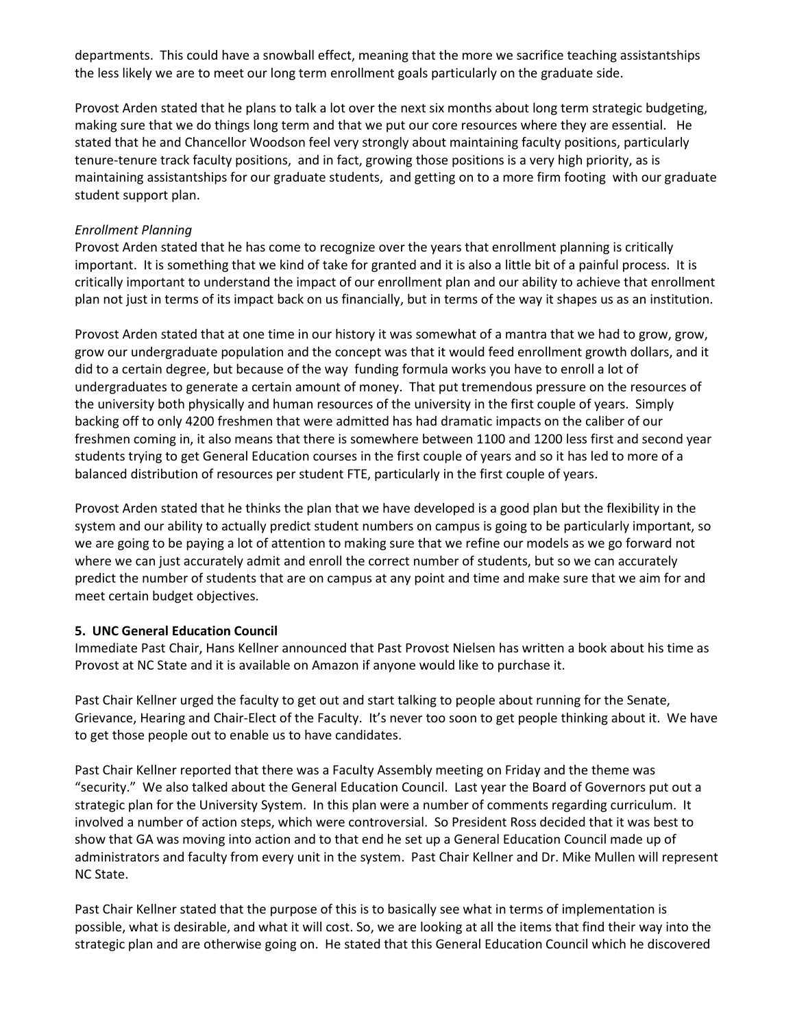departments. This could have a snowball effect, meaning that the more we sacrifice teaching assistantships the less likely we are to meet our long term enrollment goals particularly on the graduate side.

Provost Arden stated that he plans to talk a lot over the next six months about long term strategic budgeting, making sure that we do things long term and that we put our core resources where they are essential. He stated that he and Chancellor Woodson feel very strongly about maintaining faculty positions, particularly tenure-tenure track faculty positions, and in fact, growing those positions is a very high priority, as is maintaining assistantships for our graduate students, and getting on to a more firm footing with our graduate student support plan.

## *Enrollment Planning*

Provost Arden stated that he has come to recognize over the years that enrollment planning is critically important. It is something that we kind of take for granted and it is also a little bit of a painful process. It is critically important to understand the impact of our enrollment plan and our ability to achieve that enrollment plan not just in terms of its impact back on us financially, but in terms of the way it shapes us as an institution.

Provost Arden stated that at one time in our history it was somewhat of a mantra that we had to grow, grow, grow our undergraduate population and the concept was that it would feed enrollment growth dollars, and it did to a certain degree, but because of the way funding formula works you have to enroll a lot of undergraduates to generate a certain amount of money. That put tremendous pressure on the resources of the university both physically and human resources of the university in the first couple of years. Simply backing off to only 4200 freshmen that were admitted has had dramatic impacts on the caliber of our freshmen coming in, it also means that there is somewhere between 1100 and 1200 less first and second year students trying to get General Education courses in the first couple of years and so it has led to more of a balanced distribution of resources per student FTE, particularly in the first couple of years.

Provost Arden stated that he thinks the plan that we have developed is a good plan but the flexibility in the system and our ability to actually predict student numbers on campus is going to be particularly important, so we are going to be paying a lot of attention to making sure that we refine our models as we go forward not where we can just accurately admit and enroll the correct number of students, but so we can accurately predict the number of students that are on campus at any point and time and make sure that we aim for and meet certain budget objectives.

## **5. UNC General Education Council**

Immediate Past Chair, Hans Kellner announced that Past Provost Nielsen has written a book about his time as Provost at NC State and it is available on Amazon if anyone would like to purchase it.

Past Chair Kellner urged the faculty to get out and start talking to people about running for the Senate, Grievance, Hearing and Chair-Elect of the Faculty. It's never too soon to get people thinking about it. We have to get those people out to enable us to have candidates.

Past Chair Kellner reported that there was a Faculty Assembly meeting on Friday and the theme was "security." We also talked about the General Education Council. Last year the Board of Governors put out a strategic plan for the University System. In this plan were a number of comments regarding curriculum. It involved a number of action steps, which were controversial. So President Ross decided that it was best to show that GA was moving into action and to that end he set up a General Education Council made up of administrators and faculty from every unit in the system. Past Chair Kellner and Dr. Mike Mullen will represent NC State.

Past Chair Kellner stated that the purpose of this is to basically see what in terms of implementation is possible, what is desirable, and what it will cost. So, we are looking at all the items that find their way into the strategic plan and are otherwise going on. He stated that this General Education Council which he discovered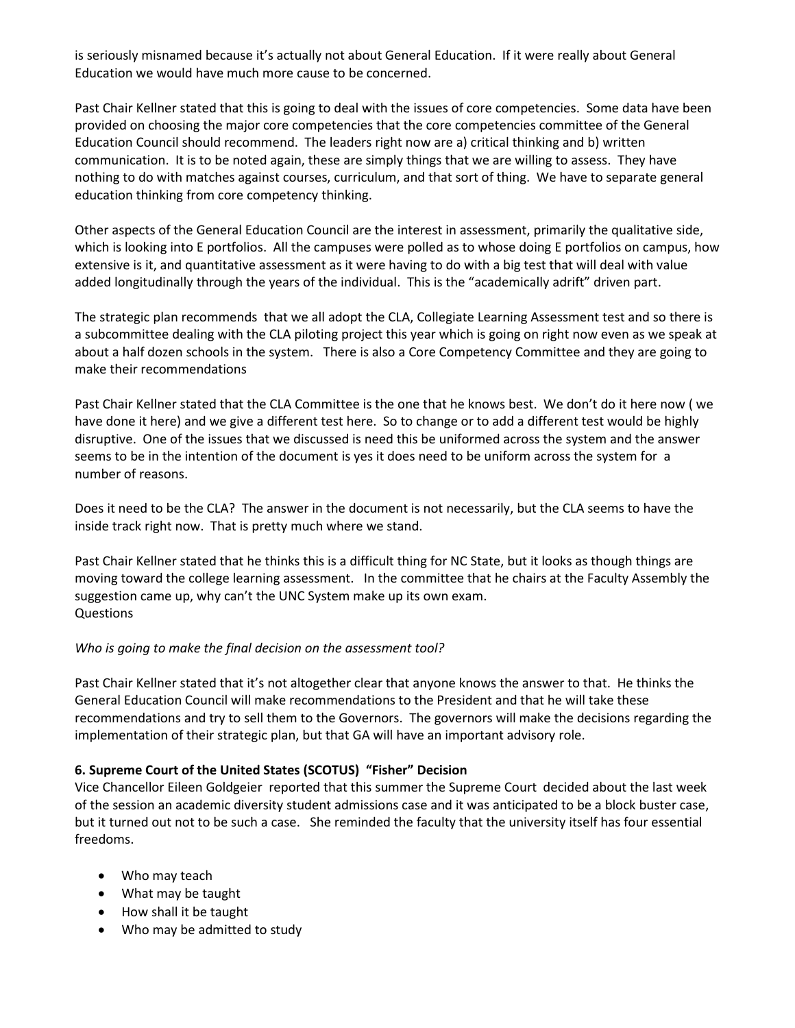is seriously misnamed because it's actually not about General Education. If it were really about General Education we would have much more cause to be concerned.

Past Chair Kellner stated that this is going to deal with the issues of core competencies. Some data have been provided on choosing the major core competencies that the core competencies committee of the General Education Council should recommend. The leaders right now are a) critical thinking and b) written communication. It is to be noted again, these are simply things that we are willing to assess. They have nothing to do with matches against courses, curriculum, and that sort of thing. We have to separate general education thinking from core competency thinking.

Other aspects of the General Education Council are the interest in assessment, primarily the qualitative side, which is looking into E portfolios. All the campuses were polled as to whose doing E portfolios on campus, how extensive is it, and quantitative assessment as it were having to do with a big test that will deal with value added longitudinally through the years of the individual. This is the "academically adrift" driven part.

The strategic plan recommends that we all adopt the CLA, Collegiate Learning Assessment test and so there is a subcommittee dealing with the CLA piloting project this year which is going on right now even as we speak at about a half dozen schools in the system. There is also a Core Competency Committee and they are going to make their recommendations

Past Chair Kellner stated that the CLA Committee is the one that he knows best. We don't do it here now ( we have done it here) and we give a different test here. So to change or to add a different test would be highly disruptive. One of the issues that we discussed is need this be uniformed across the system and the answer seems to be in the intention of the document is yes it does need to be uniform across the system for a number of reasons.

Does it need to be the CLA? The answer in the document is not necessarily, but the CLA seems to have the inside track right now. That is pretty much where we stand.

Past Chair Kellner stated that he thinks this is a difficult thing for NC State, but it looks as though things are moving toward the college learning assessment. In the committee that he chairs at the Faculty Assembly the suggestion came up, why can't the UNC System make up its own exam. Questions

## *Who is going to make the final decision on the assessment tool?*

Past Chair Kellner stated that it's not altogether clear that anyone knows the answer to that. He thinks the General Education Council will make recommendations to the President and that he will take these recommendations and try to sell them to the Governors. The governors will make the decisions regarding the implementation of their strategic plan, but that GA will have an important advisory role.

## **6. Supreme Court of the United States (SCOTUS) "Fisher" Decision**

Vice Chancellor Eileen Goldgeier reported that this summer the Supreme Court decided about the last week of the session an academic diversity student admissions case and it was anticipated to be a block buster case, but it turned out not to be such a case. She reminded the faculty that the university itself has four essential freedoms.

- Who may teach
- What may be taught
- How shall it be taught
- Who may be admitted to study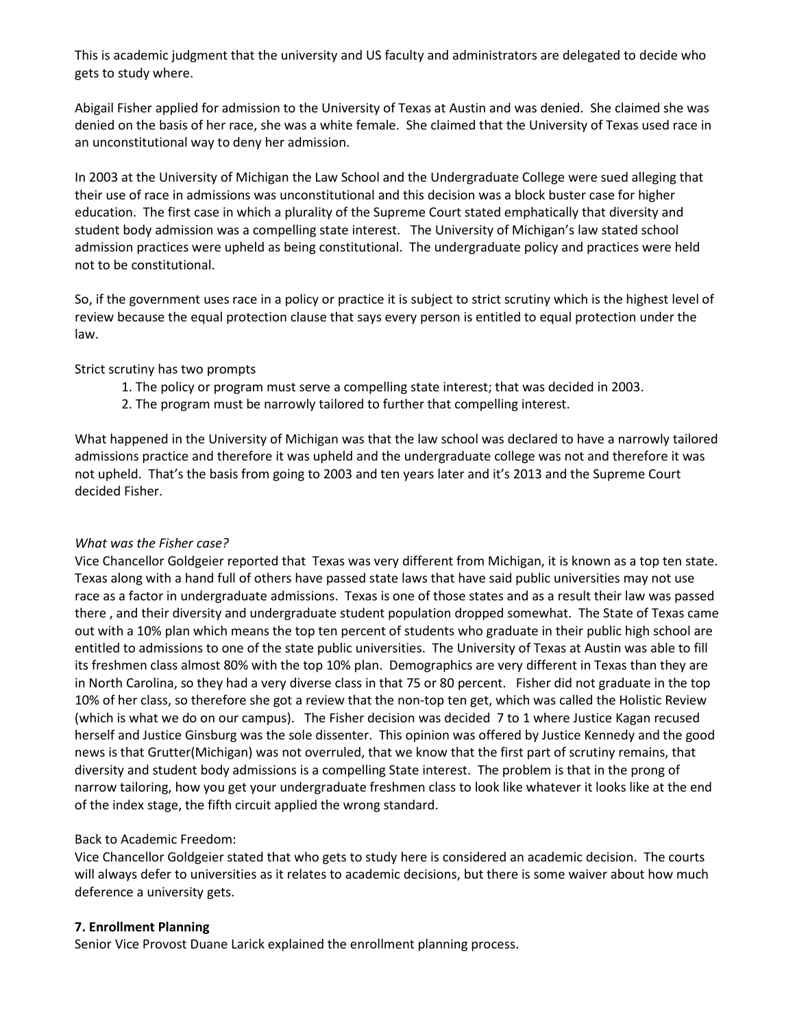This is academic judgment that the university and US faculty and administrators are delegated to decide who gets to study where.

Abigail Fisher applied for admission to the University of Texas at Austin and was denied. She claimed she was denied on the basis of her race, she was a white female. She claimed that the University of Texas used race in an unconstitutional way to deny her admission.

In 2003 at the University of Michigan the Law School and the Undergraduate College were sued alleging that their use of race in admissions was unconstitutional and this decision was a block buster case for higher education. The first case in which a plurality of the Supreme Court stated emphatically that diversity and student body admission was a compelling state interest. The University of Michigan's law stated school admission practices were upheld as being constitutional. The undergraduate policy and practices were held not to be constitutional.

So, if the government uses race in a policy or practice it is subject to strict scrutiny which is the highest level of review because the equal protection clause that says every person is entitled to equal protection under the law.

Strict scrutiny has two prompts

- 1. The policy or program must serve a compelling state interest; that was decided in 2003.
- 2. The program must be narrowly tailored to further that compelling interest.

What happened in the University of Michigan was that the law school was declared to have a narrowly tailored admissions practice and therefore it was upheld and the undergraduate college was not and therefore it was not upheld. That's the basis from going to 2003 and ten years later and it's 2013 and the Supreme Court decided Fisher.

## *What was the Fisher case?*

Vice Chancellor Goldgeier reported that Texas was very different from Michigan, it is known as a top ten state. Texas along with a hand full of others have passed state laws that have said public universities may not use race as a factor in undergraduate admissions. Texas is one of those states and as a result their law was passed there , and their diversity and undergraduate student population dropped somewhat. The State of Texas came out with a 10% plan which means the top ten percent of students who graduate in their public high school are entitled to admissions to one of the state public universities. The University of Texas at Austin was able to fill its freshmen class almost 80% with the top 10% plan. Demographics are very different in Texas than they are in North Carolina, so they had a very diverse class in that 75 or 80 percent. Fisher did not graduate in the top 10% of her class, so therefore she got a review that the non-top ten get, which was called the Holistic Review (which is what we do on our campus). The Fisher decision was decided 7 to 1 where Justice Kagan recused herself and Justice Ginsburg was the sole dissenter. This opinion was offered by Justice Kennedy and the good news is that Grutter(Michigan) was not overruled, that we know that the first part of scrutiny remains, that diversity and student body admissions is a compelling State interest. The problem is that in the prong of narrow tailoring, how you get your undergraduate freshmen class to look like whatever it looks like at the end of the index stage, the fifth circuit applied the wrong standard.

# Back to Academic Freedom:

Vice Chancellor Goldgeier stated that who gets to study here is considered an academic decision. The courts will always defer to universities as it relates to academic decisions, but there is some waiver about how much deference a university gets.

# **7. Enrollment Planning**

Senior Vice Provost Duane Larick explained the enrollment planning process.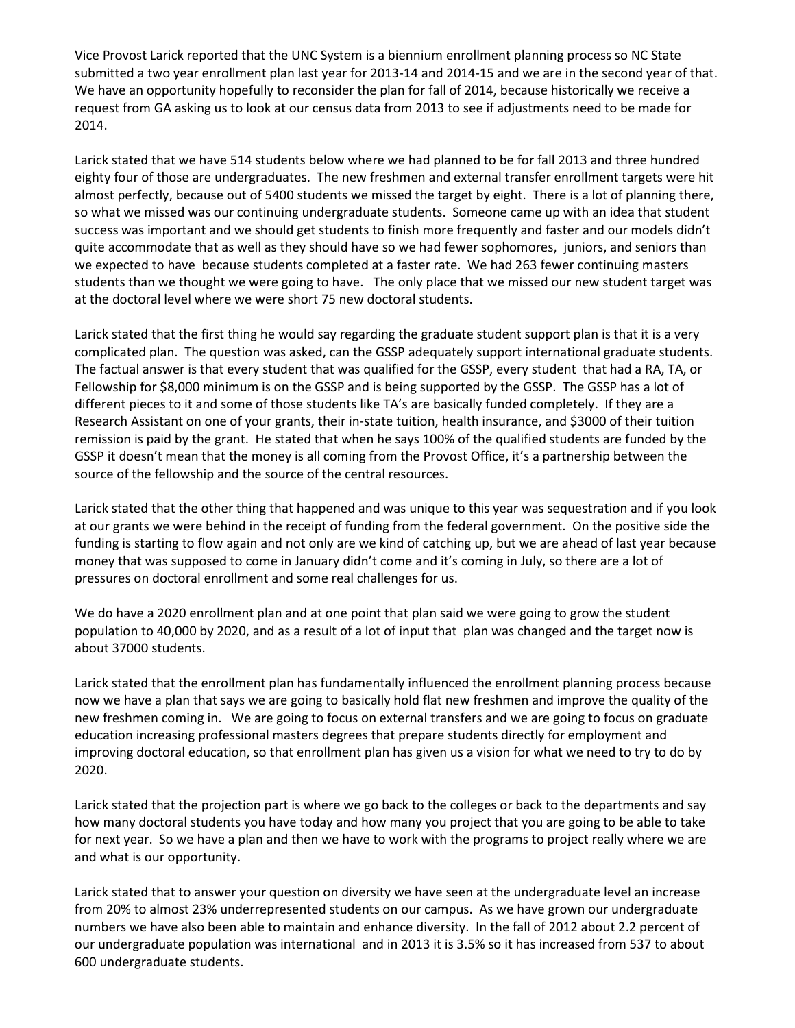Vice Provost Larick reported that the UNC System is a biennium enrollment planning process so NC State submitted a two year enrollment plan last year for 2013-14 and 2014-15 and we are in the second year of that. We have an opportunity hopefully to reconsider the plan for fall of 2014, because historically we receive a request from GA asking us to look at our census data from 2013 to see if adjustments need to be made for 2014.

Larick stated that we have 514 students below where we had planned to be for fall 2013 and three hundred eighty four of those are undergraduates. The new freshmen and external transfer enrollment targets were hit almost perfectly, because out of 5400 students we missed the target by eight. There is a lot of planning there, so what we missed was our continuing undergraduate students. Someone came up with an idea that student success was important and we should get students to finish more frequently and faster and our models didn't quite accommodate that as well as they should have so we had fewer sophomores, juniors, and seniors than we expected to have because students completed at a faster rate. We had 263 fewer continuing masters students than we thought we were going to have. The only place that we missed our new student target was at the doctoral level where we were short 75 new doctoral students.

Larick stated that the first thing he would say regarding the graduate student support plan is that it is a very complicated plan. The question was asked, can the GSSP adequately support international graduate students. The factual answer is that every student that was qualified for the GSSP, every student that had a RA, TA, or Fellowship for \$8,000 minimum is on the GSSP and is being supported by the GSSP. The GSSP has a lot of different pieces to it and some of those students like TA's are basically funded completely. If they are a Research Assistant on one of your grants, their in-state tuition, health insurance, and \$3000 of their tuition remission is paid by the grant. He stated that when he says 100% of the qualified students are funded by the GSSP it doesn't mean that the money is all coming from the Provost Office, it's a partnership between the source of the fellowship and the source of the central resources.

Larick stated that the other thing that happened and was unique to this year was sequestration and if you look at our grants we were behind in the receipt of funding from the federal government. On the positive side the funding is starting to flow again and not only are we kind of catching up, but we are ahead of last year because money that was supposed to come in January didn't come and it's coming in July, so there are a lot of pressures on doctoral enrollment and some real challenges for us.

We do have a 2020 enrollment plan and at one point that plan said we were going to grow the student population to 40,000 by 2020, and as a result of a lot of input that plan was changed and the target now is about 37000 students.

Larick stated that the enrollment plan has fundamentally influenced the enrollment planning process because now we have a plan that says we are going to basically hold flat new freshmen and improve the quality of the new freshmen coming in. We are going to focus on external transfers and we are going to focus on graduate education increasing professional masters degrees that prepare students directly for employment and improving doctoral education, so that enrollment plan has given us a vision for what we need to try to do by 2020.

Larick stated that the projection part is where we go back to the colleges or back to the departments and say how many doctoral students you have today and how many you project that you are going to be able to take for next year. So we have a plan and then we have to work with the programs to project really where we are and what is our opportunity.

Larick stated that to answer your question on diversity we have seen at the undergraduate level an increase from 20% to almost 23% underrepresented students on our campus. As we have grown our undergraduate numbers we have also been able to maintain and enhance diversity. In the fall of 2012 about 2.2 percent of our undergraduate population was international and in 2013 it is 3.5% so it has increased from 537 to about 600 undergraduate students.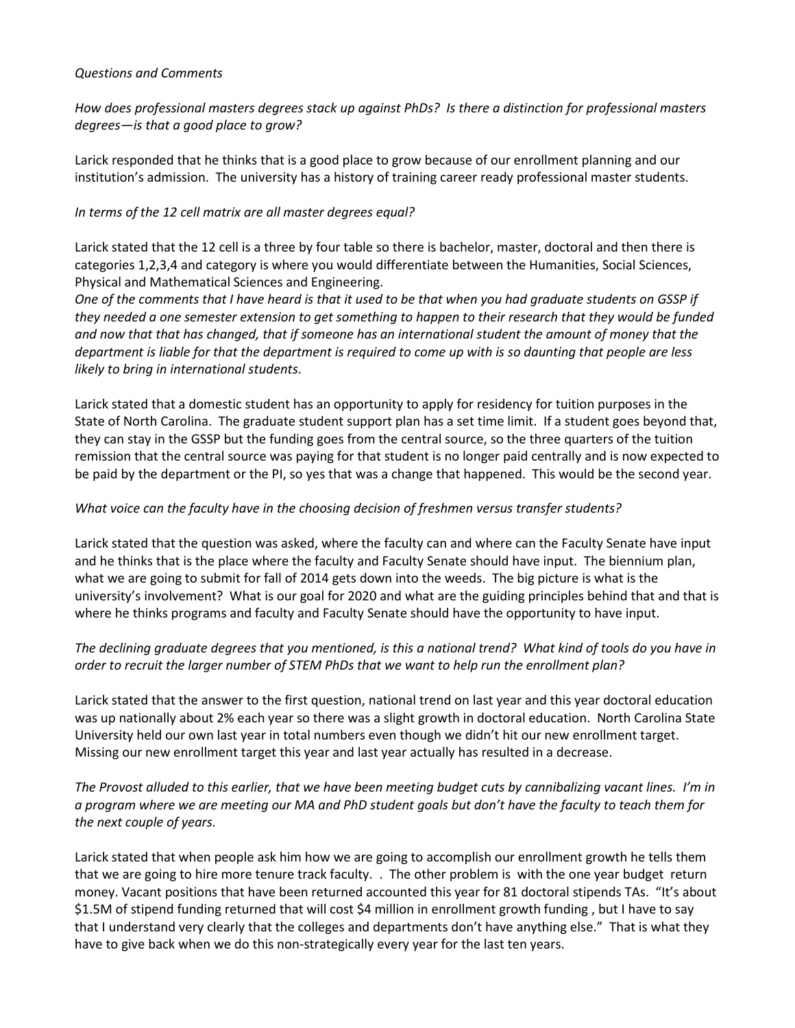#### *Questions and Comments*

## *How does professional masters degrees stack up against PhDs? Is there a distinction for professional masters degrees—is that a good place to grow?*

Larick responded that he thinks that is a good place to grow because of our enrollment planning and our institution's admission. The university has a history of training career ready professional master students.

## *In terms of the 12 cell matrix are all master degrees equal?*

Larick stated that the 12 cell is a three by four table so there is bachelor, master, doctoral and then there is categories 1,2,3,4 and category is where you would differentiate between the Humanities, Social Sciences, Physical and Mathematical Sciences and Engineering.

*One of the comments that I have heard is that it used to be that when you had graduate students on GSSP if they needed a one semester extension to get something to happen to their research that they would be funded and now that that has changed, that if someone has an international student the amount of money that the department is liable for that the department is required to come up with is so daunting that people are less likely to bring in international students*.

Larick stated that a domestic student has an opportunity to apply for residency for tuition purposes in the State of North Carolina. The graduate student support plan has a set time limit. If a student goes beyond that, they can stay in the GSSP but the funding goes from the central source, so the three quarters of the tuition remission that the central source was paying for that student is no longer paid centrally and is now expected to be paid by the department or the PI, so yes that was a change that happened. This would be the second year.

## *What voice can the faculty have in the choosing decision of freshmen versus transfer students?*

Larick stated that the question was asked, where the faculty can and where can the Faculty Senate have input and he thinks that is the place where the faculty and Faculty Senate should have input. The biennium plan, what we are going to submit for fall of 2014 gets down into the weeds. The big picture is what is the university's involvement? What is our goal for 2020 and what are the guiding principles behind that and that is where he thinks programs and faculty and Faculty Senate should have the opportunity to have input.

# *The declining graduate degrees that you mentioned, is this a national trend? What kind of tools do you have in order to recruit the larger number of STEM PhDs that we want to help run the enrollment plan?*

Larick stated that the answer to the first question, national trend on last year and this year doctoral education was up nationally about 2% each year so there was a slight growth in doctoral education. North Carolina State University held our own last year in total numbers even though we didn't hit our new enrollment target. Missing our new enrollment target this year and last year actually has resulted in a decrease.

*The Provost alluded to this earlier, that we have been meeting budget cuts by cannibalizing vacant lines. I'm in a program where we are meeting our MA and PhD student goals but don't have the faculty to teach them for the next couple of years.* 

Larick stated that when people ask him how we are going to accomplish our enrollment growth he tells them that we are going to hire more tenure track faculty. . The other problem is with the one year budget return money. Vacant positions that have been returned accounted this year for 81 doctoral stipends TAs. "It's about \$1.5M of stipend funding returned that will cost \$4 million in enrollment growth funding , but I have to say that I understand very clearly that the colleges and departments don't have anything else." That is what they have to give back when we do this non-strategically every year for the last ten years.